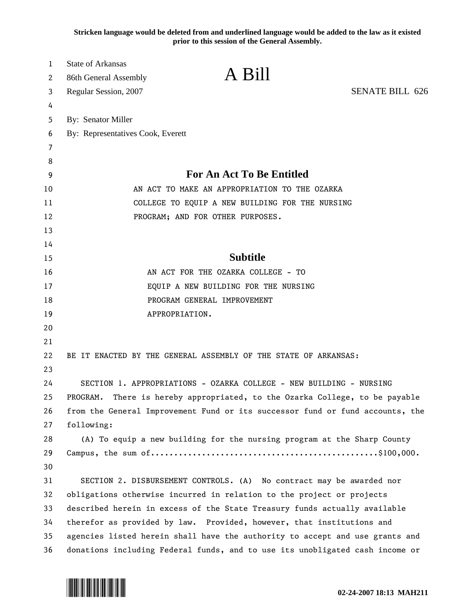**Stricken language would be deleted from and underlined language would be added to the law as it existed prior to this session of the General Assembly.**

| $\mathbf{1}$<br>2 | <b>State of Arkansas</b><br>86th General Assembly                              | A Bill                                                                  |                        |
|-------------------|--------------------------------------------------------------------------------|-------------------------------------------------------------------------|------------------------|
| 3                 | Regular Session, 2007                                                          |                                                                         | <b>SENATE BILL 626</b> |
| 4                 |                                                                                |                                                                         |                        |
| 5                 | By: Senator Miller                                                             |                                                                         |                        |
| 6                 | By: Representatives Cook, Everett                                              |                                                                         |                        |
| 7                 |                                                                                |                                                                         |                        |
| 8                 |                                                                                |                                                                         |                        |
| 9                 | <b>For An Act To Be Entitled</b>                                               |                                                                         |                        |
| 10                | AN ACT TO MAKE AN APPROPRIATION TO THE OZARKA                                  |                                                                         |                        |
| 11                | COLLEGE TO EQUIP A NEW BUILDING FOR THE NURSING                                |                                                                         |                        |
| 12                | PROGRAM; AND FOR OTHER PURPOSES.                                               |                                                                         |                        |
| 13                |                                                                                |                                                                         |                        |
| 14                |                                                                                |                                                                         |                        |
| 15                | <b>Subtitle</b>                                                                |                                                                         |                        |
| 16                | AN ACT FOR THE OZARKA COLLEGE - TO                                             |                                                                         |                        |
| 17                | EQUIP A NEW BUILDING FOR THE NURSING                                           |                                                                         |                        |
| 18                | PROGRAM GENERAL IMPROVEMENT                                                    |                                                                         |                        |
| 19                | APPROPRIATION.                                                                 |                                                                         |                        |
| 20                |                                                                                |                                                                         |                        |
| 21                |                                                                                |                                                                         |                        |
| 22                |                                                                                | BE IT ENACTED BY THE GENERAL ASSEMBLY OF THE STATE OF ARKANSAS:         |                        |
| 23                |                                                                                |                                                                         |                        |
| 24                |                                                                                | SECTION 1. APPROPRIATIONS - OZARKA COLLEGE - NEW BUILDING - NURSING     |                        |
| 25                | There is hereby appropriated, to the Ozarka College, to be payable<br>PROGRAM. |                                                                         |                        |
| 26                | from the General Improvement Fund or its successor fund or fund accounts, the  |                                                                         |                        |
| 27                | following:                                                                     |                                                                         |                        |
| 28                |                                                                                | (A) To equip a new building for the nursing program at the Sharp County |                        |
| 29                |                                                                                |                                                                         |                        |
| 30                |                                                                                |                                                                         |                        |
| 31                |                                                                                | SECTION 2. DISBURSEMENT CONTROLS. (A) No contract may be awarded nor    |                        |
| 32                | obligations otherwise incurred in relation to the project or projects          |                                                                         |                        |
| 33                | described herein in excess of the State Treasury funds actually available      |                                                                         |                        |
| 34                | therefor as provided by law. Provided, however, that institutions and          |                                                                         |                        |
| 35                | agencies listed herein shall have the authority to accept and use grants and   |                                                                         |                        |
| 36                | donations including Federal funds, and to use its unobligated cash income or   |                                                                         |                        |